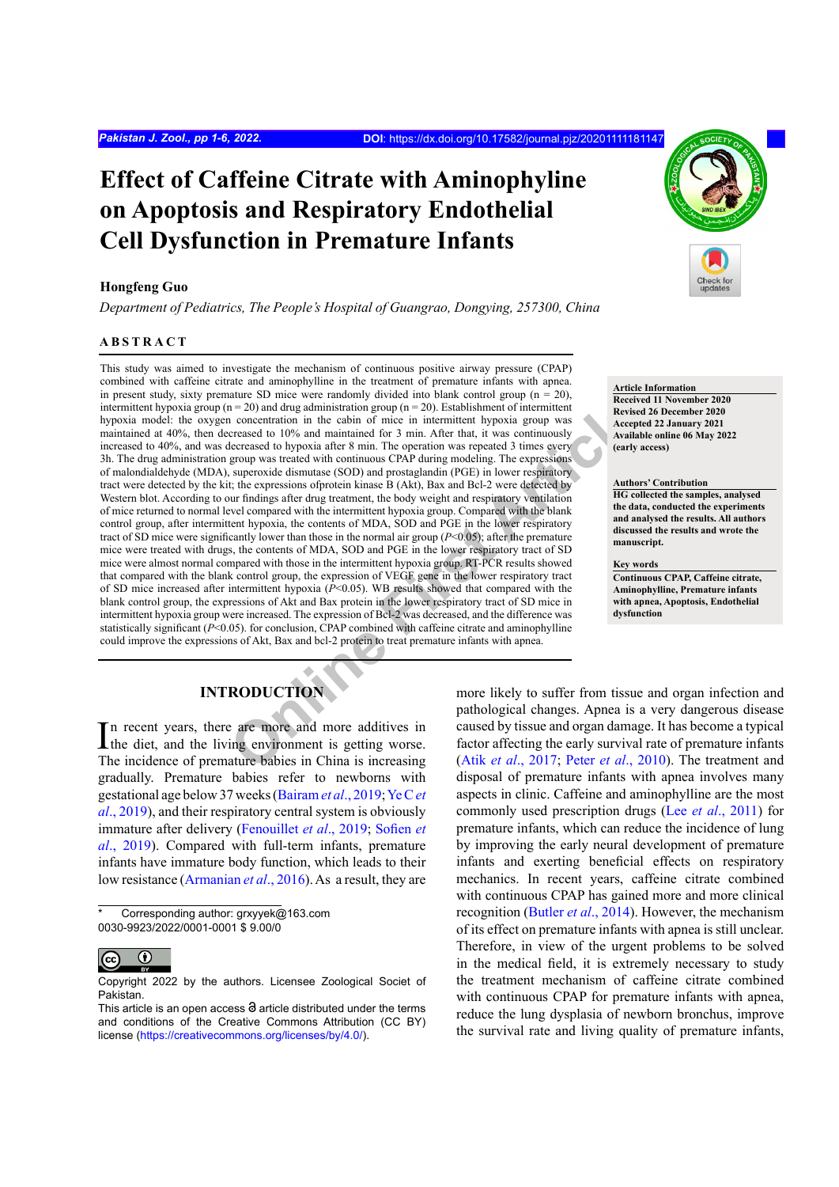# **Effect of Caffeine Citrate with Aminophyline on Apoptosis and Respiratory Endothelial Cell Dysfunction in Premature Infants**

#### **Hongfeng Guo**

*Department of Pediatrics, The People's Hospital of Guangrao, Dongying, 257300, China*

#### **ABSTRACT**

n = 20) and drug administration group (n = 20). Establishment of intermittent<br>
n concentration in the cabin of mice in intermittent hypoxia atom the cabin of mice in intermittent hypoxia and a coreptration in the contentra This study was aimed to investigate the mechanism of continuous positive airway pressure (CPAP) combined with caffeine citrate and aminophylline in the treatment of premature infants with apnea. in present study, sixty premature SD mice were randomly divided into blank control group ( $n = 20$ ), intermittent hypoxia group ( $n = 20$ ) and drug administration group ( $n = 20$ ). Establishment of intermittent hypoxia model: the oxygen concentration in the cabin of mice in intermittent hypoxia group was maintained at 40%, then decreased to 10% and maintained for 3 min. After that, it was continuously increased to 40%, and was decreased to hypoxia after 8 min. The operation was repeated 3 times every 3h. The drug administration group was treated with continuous CPAP during modeling. The expressions of malondialdehyde (MDA), superoxide dismutase (SOD) and prostaglandin (PGE) in lower respiratory tract were detected by the kit; the expressions ofprotein kinase B (Akt), Bax and Bcl-2 were detected by Western blot. According to our findings after drug treatment, the body weight and respiratory ventilation of mice returned to normal level compared with the intermittent hypoxia group. Compared with the blank control group, after intermittent hypoxia, the contents of MDA, SOD and PGE in the lower respiratory tract of SD mice were significantly lower than those in the normal air group (*P*<0.05); after the premature mice were treated with drugs, the contents of MDA, SOD and PGE in the lower respiratory tract of SD mice were almost normal compared with those in the intermittent hypoxia group. RT-PCR results showed that compared with the blank control group, the expression of VEGF gene in the lower respiratory tract of SD mice increased after intermittent hypoxia (*P*<0.05). WB results showed that compared with the blank control group, the expressions of Akt and Bax protein in the lower respiratory tract of SD mice in intermittent hypoxia group were increased. The expression of Bcl-2 was decreased, and the difference was statistically significant ( $P$ <0.05). for conclusion, CPAP combined with caffeine citrate and aminophylline could improve the expressions of Akt, Bax and bcl-2 protein to treat premature infants with apnea.

#### **Article Information**

**Received 11 November 2020 Revised 26 December 2020 Accepted 22 January 2021 Available online 06 May 2022 (early access)**

#### **Authors' Contribution**

**HG collected the samples, analysed the data, conducted the experiments and analysed the results. All authors discussed the results and wrote the manuscript.**

#### **Key words**

**Continuous CPAP, Caffeine citrate, Aminophylline, Premature infants with apnea, Apoptosis, Endothelial dysfunction**

## **INTRODUCTION**

In recent years, there are more and more additives in the diet, and the living environment is getting worse. n recent years, there are more and more additives in The incidence of premature babies in China is increasing gradually. Premature babies refer to newborns with gestational age below 37 weeks [\(Bairam](#page-4-0) *et al*., 2019; [Ye C](#page-4-1) *et al*[., 2019\)](#page-4-1), and their respiratory central system is obviously immature after delivery [\(Fenouillet](#page-4-2) *et al*., 2019; [Sofien](#page-4-3) *et al*[., 2019](#page-4-3)). Compared with full-term infants, premature infants have immature body function, which leads to their low resistance [\(Armanian](#page-4-4) *et al*., 2016). As a result, they are

Corresponding author: grxyyek@163.com 0030-9923/2022/0001-0001 \$ 9.00/0



Copyright 2022 by the authors. Licensee Zoological Societ of Pakistan.

more likely to suffer from tissue and organ infection and pathological changes. Apnea is a very dangerous disease caused by tissue and organ damage. It has become a typical factor affecting the early survival rate of premature infants (Atik *et al*., 2017; Peter *et al*., 2010). The treatment and disposal of premature infants with apnea involves many aspects in clinic. Caffeine and aminophylline are the most commonly used prescription drugs (Lee *et al*[., 2011\)](#page-4-7) for premature infants, which can reduce the incidence of lung by improving the early neural development of premature infants and exerting beneficial effects on respiratory mechanics. In recent years, caffeine citrate combined with continuous CPAP has gained more and more clinical recognition [\(Butler](#page-4-8) *et al*., 2014). However, the mechanism of its effect on premature infants with apnea is still unclear. Therefore, in view of the urgent problems to be solved in the medical field, it is extremely necessary to study the treatment mechanism of caffeine citrate combined with continuous CPAP for premature infants with apnea, reduce the lung dysplasia of newborn bronchus, improve the survival rate and living quality of premature infants,

This article is an open access  $\Theta$  article distributed under the terms and conditions of the Creative Commons Attribution (CC BY) license (<https://creativecommons.org/licenses/by/4.0/>).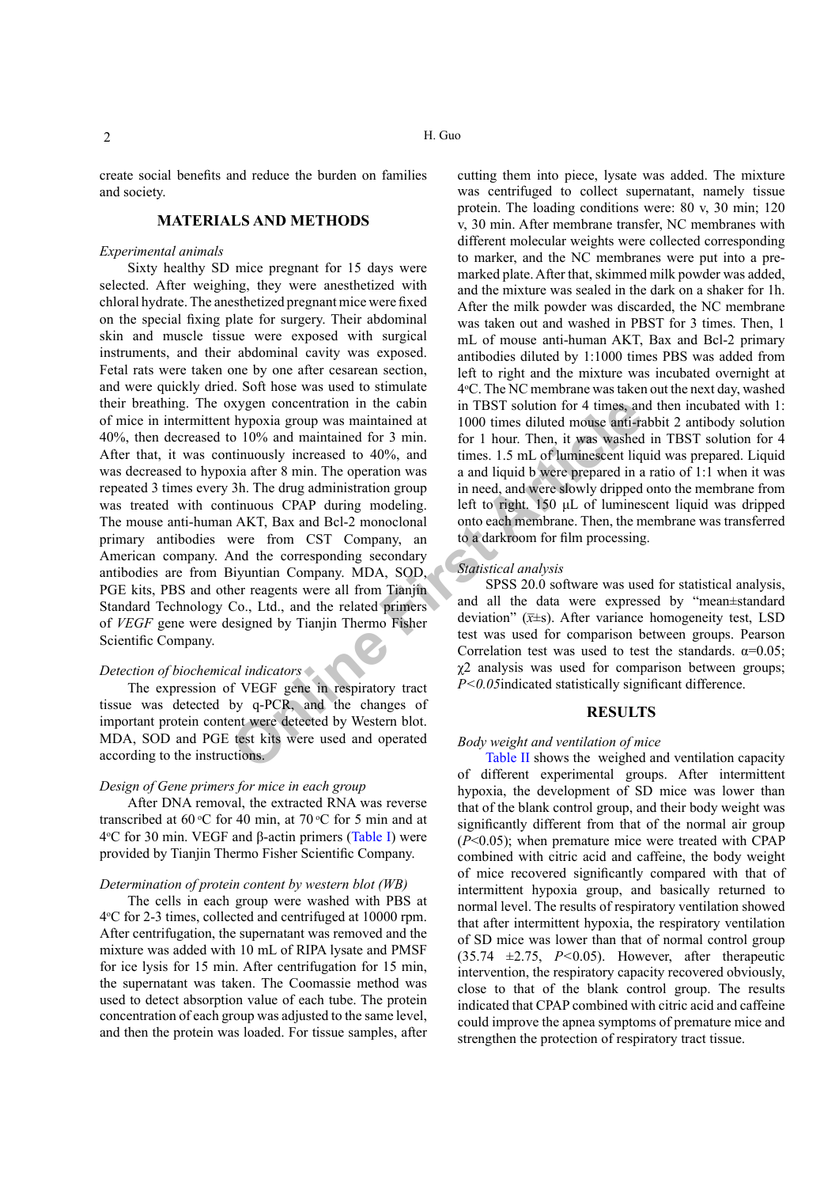H. Guo

create social benefits and reduce the burden on families and society.

#### **MATERIALS AND METHODS**

#### *Experimental animals*

Example the contration in the cabin in TBST solution for 4 times, an hypoxia group was maintained at 1000 times diluted mouse anti-<br>
article in the particle of 3 min. The net was weakend to 10% and times 1.5 mL of lumines Sixty healthy SD mice pregnant for 15 days were selected. After weighing, they were anesthetized with chloral hydrate. The anesthetized pregnant mice were fixed on the special fixing plate for surgery. Their abdominal skin and muscle tissue were exposed with surgical instruments, and their abdominal cavity was exposed. Fetal rats were taken one by one after cesarean section, and were quickly dried. Soft hose was used to stimulate their breathing. The oxygen concentration in the cabin of mice in intermittent hypoxia group was maintained at 40%, then decreased to 10% and maintained for 3 min. After that, it was continuously increased to 40%, and was decreased to hypoxia after 8 min. The operation was repeated 3 times every 3h. The drug administration group was treated with continuous CPAP during modeling. The mouse anti-human AKT, Bax and Bcl-2 monoclonal primary antibodies were from CST Company, an American company. And the corresponding secondary antibodies are from Biyuntian Company. MDA, SOD, PGE kits, PBS and other reagents were all from Tianjin Standard Technology Co., Ltd., and the related primers of *VEGF* gene were designed by Tianjin Thermo Fisher Scientific Company.

#### *Detection of biochemical indicators*

The expression of VEGF gene in respiratory tract tissue was detected by q-PCR, and the changes of important protein content were detected by Western blot. MDA, SOD and PGE test kits were used and operated according to the instructions.

#### *Design of Gene primers for mice in each group*

After DNA removal, the extracted RNA was reverse transcribed at 60 °C for 40 min, at 70 °C for 5 min and at 4<sup>o</sup>C for 30 min. VEGF and β-actin primers (Table I) were provided by Tianjin Thermo Fisher Scientific Company.

#### *Determination of protein content by western blot (WB)*

The cells in each group were washed with PBS at 4o C for 2-3 times, collected and centrifuged at 10000 rpm. After centrifugation, the supernatant was removed and the mixture was added with 10 mL of RIPA lysate and PMSF for ice lysis for 15 min. After centrifugation for 15 min, the supernatant was taken. The Coomassie method was used to detect absorption value of each tube. The protein concentration of each group was adjusted to the same level, and then the protein was loaded. For tissue samples, after

cutting them into piece, lysate was added. The mixture was centrifuged to collect supernatant, namely tissue protein. The loading conditions were: 80 v, 30 min; 120 v, 30 min. After membrane transfer, NC membranes with different molecular weights were collected corresponding to marker, and the NC membranes were put into a premarked plate. After that, skimmed milk powder was added, and the mixture was sealed in the dark on a shaker for 1h. After the milk powder was discarded, the NC membrane was taken out and washed in PBST for 3 times. Then, 1 mL of mouse anti-human AKT, Bax and Bcl-2 primary antibodies diluted by 1:1000 times PBS was added from left to right and the mixture was incubated overnight at 4o C. The NC membrane was taken out the next day, washed in TBST solution for 4 times, and then incubated with 1: 1000 times diluted mouse anti-rabbit 2 antibody solution for 1 hour. Then, it was washed in TBST solution for 4 times. 1.5 mL of luminescent liquid was prepared. Liquid a and liquid b were prepared in a ratio of 1:1 when it was in need, and were slowly dripped onto the membrane from left to right. 150 μL of luminescent liquid was dripped onto each membrane. Then, the membrane was transferred to a darkroom for film processing.

#### *Statistical analysis*

SPSS 20.0 software was used for statistical analysis, and all the data were expressed by "mean±standard deviation"  $(\overline{x} \pm s)$ . After variance homogeneity test, LSD test was used for comparison between groups. Pearson Correlation test was used to test the standards.  $\alpha$ =0.05; χ2 analysis was used for comparison between groups; *P*<0.05indicated statistically significant difference.

#### **RESULTS**

#### *Body weight and ventilation of mice*

Table II shows the weighed and ventilation capacity of different experimental groups. After intermittent hypoxia, the development of SD mice was lower than that of the blank control group, and their body weight was significantly different from that of the normal air group (*P*<0.05); when premature mice were treated with CPAP combined with citric acid and caffeine, the body weight of mice recovered significantly compared with that of intermittent hypoxia group, and basically returned to normal level. The results of respiratory ventilation showed that after intermittent hypoxia, the respiratory ventilation of SD mice was lower than that of normal control group (35.74 ±2.75, *P<*0.05). However, after therapeutic intervention, the respiratory capacity recovered obviously, close to that of the blank control group. The results indicated that CPAP combined with citric acid and caffeine could improve the apnea symptoms of premature mice and strengthen the protection of respiratory tract tissue.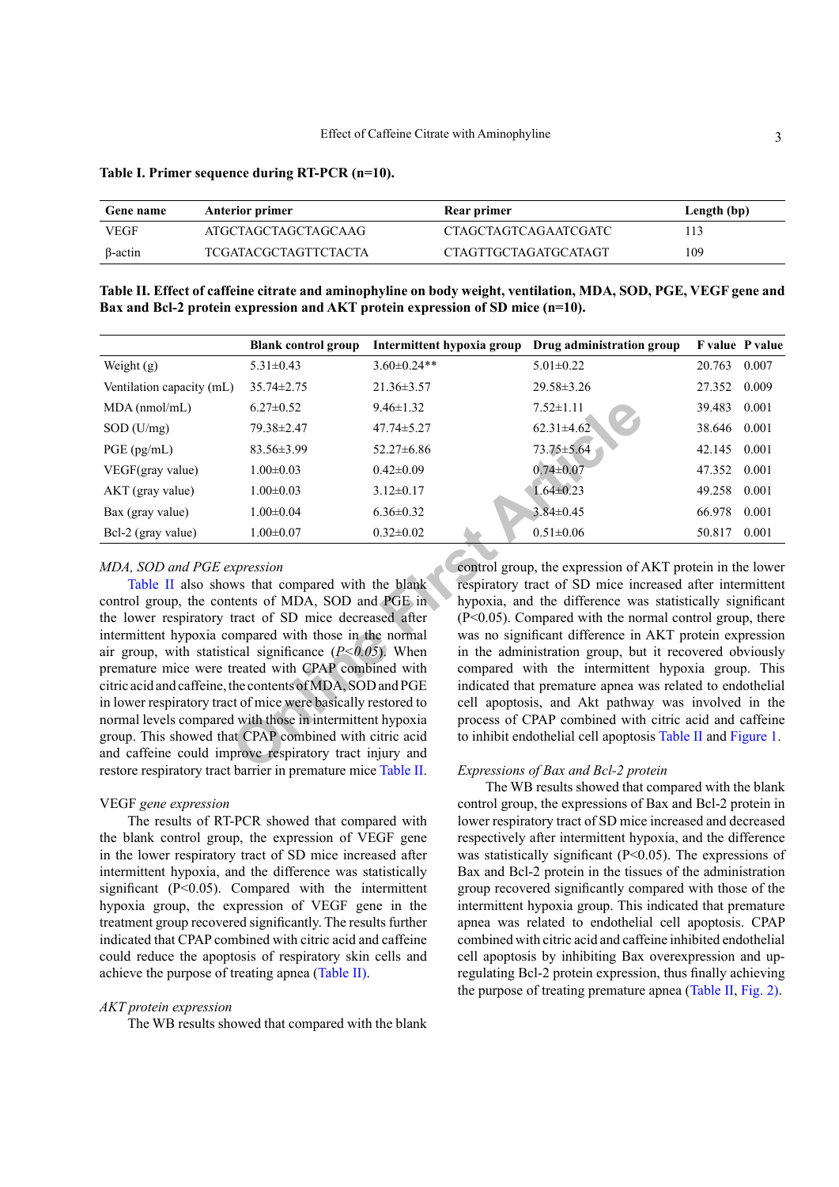**Table I. Primer sequence during RT-PCR (n=10).**

| Gene name      | <b>Anterior primer</b>      | Rear primer                 | Length (bp) |
|----------------|-----------------------------|-----------------------------|-------------|
| <b>VEGF</b>    | ATGCTAGCTAGCTAGCAAG         | <b>CTAGCTAGTCAGAATCGATC</b> |             |
| $\beta$ -actin | <b>TCGATACGCTAGTTCTACTA</b> | <b>CTAGTTGCTAGATGCATAGT</b> | 109         |

<span id="page-2-0"></span>**Table II. Effect of caffeine citrate and aminophyline on body weight, ventilation, MDA, SOD, PGE, VEGF gene and Bax and Bcl-2 protein expression and AKT protein expression of SD mice (n=10).**

|                                                                                                                                                                                                                                                                                                                                                                                                                                                                                                                                                                                                                                             | <b>Blank control group</b>                       | Intermittent hypoxia group |                                                                                                                                                                                                                                                                                                                                                                                                                                                                                                                                                                                                                                                                             | Drug administration group |        | F value P value |  |
|---------------------------------------------------------------------------------------------------------------------------------------------------------------------------------------------------------------------------------------------------------------------------------------------------------------------------------------------------------------------------------------------------------------------------------------------------------------------------------------------------------------------------------------------------------------------------------------------------------------------------------------------|--------------------------------------------------|----------------------------|-----------------------------------------------------------------------------------------------------------------------------------------------------------------------------------------------------------------------------------------------------------------------------------------------------------------------------------------------------------------------------------------------------------------------------------------------------------------------------------------------------------------------------------------------------------------------------------------------------------------------------------------------------------------------------|---------------------------|--------|-----------------|--|
| Weight $(g)$                                                                                                                                                                                                                                                                                                                                                                                                                                                                                                                                                                                                                                | $5.31 \pm 0.43$                                  | $3.60 \pm 0.24$ **         |                                                                                                                                                                                                                                                                                                                                                                                                                                                                                                                                                                                                                                                                             | $5.01 \pm 0.22$           | 20.763 | 0.007           |  |
| Ventilation capacity (mL)                                                                                                                                                                                                                                                                                                                                                                                                                                                                                                                                                                                                                   | 35.74±2.75                                       | $21.36 \pm 3.57$           |                                                                                                                                                                                                                                                                                                                                                                                                                                                                                                                                                                                                                                                                             | $29.58 \pm 3.26$          | 27.352 | 0.009           |  |
| $MDA$ (nmol/mL)                                                                                                                                                                                                                                                                                                                                                                                                                                                                                                                                                                                                                             | $6.27 \pm 0.52$                                  | $9.46 \pm 1.32$            |                                                                                                                                                                                                                                                                                                                                                                                                                                                                                                                                                                                                                                                                             | $7.52 \pm 1.11$           | 39.483 | 0.001           |  |
| SOD (U/mg)                                                                                                                                                                                                                                                                                                                                                                                                                                                                                                                                                                                                                                  | 79.38±2.47                                       | 47.74±5.27                 |                                                                                                                                                                                                                                                                                                                                                                                                                                                                                                                                                                                                                                                                             | $62.31 \pm 4.62$          | 38.646 | 0.001           |  |
| $PGE$ (pg/mL)                                                                                                                                                                                                                                                                                                                                                                                                                                                                                                                                                                                                                               | 83.56±3.99                                       | $52.27\pm 6.86$            |                                                                                                                                                                                                                                                                                                                                                                                                                                                                                                                                                                                                                                                                             | 73.75±5.64                | 42.145 | 0.001           |  |
| VEGF(gray value)                                                                                                                                                                                                                                                                                                                                                                                                                                                                                                                                                                                                                            | $1.00 \pm 0.03$                                  | $0.42 \pm 0.09$            |                                                                                                                                                                                                                                                                                                                                                                                                                                                                                                                                                                                                                                                                             | $0.74 \pm 0.07$           | 47.352 | 0.001           |  |
| AKT (gray value)                                                                                                                                                                                                                                                                                                                                                                                                                                                                                                                                                                                                                            | $1.00 \pm 0.03$                                  | $3.12 \pm 0.17$            |                                                                                                                                                                                                                                                                                                                                                                                                                                                                                                                                                                                                                                                                             | $1.64 \pm 0.23$           | 49.258 | 0.001           |  |
| Bax (gray value)                                                                                                                                                                                                                                                                                                                                                                                                                                                                                                                                                                                                                            | $1.00 \pm 0.04$                                  | $6.36 \pm 0.32$            |                                                                                                                                                                                                                                                                                                                                                                                                                                                                                                                                                                                                                                                                             | $3.84 \pm 0.45$           | 66.978 | 0.001           |  |
| Bcl-2 (gray value)                                                                                                                                                                                                                                                                                                                                                                                                                                                                                                                                                                                                                          | $1.00 \pm 0.07$                                  | $0.32 \pm 0.02$            |                                                                                                                                                                                                                                                                                                                                                                                                                                                                                                                                                                                                                                                                             | $0.51 \pm 0.06$           | 50.817 | 0.001           |  |
| MDA, SOD and PGE expression<br>control group, the contents of MDA, SOD and PGE in<br>the lower respiratory tract of SD mice decreased after<br>intermittent hypoxia compared with those in the normal<br>air group, with statistical significance $(P<0.05)$ . When<br>premature mice were treated with CPAP combined with<br>citric acid and caffeine, the contents of MDA, SOD and PGE<br>in lower respiratory tract of mice were basically restored to<br>normal levels compared with those in intermittent hypoxia<br>group. This showed that CPAP combined with citric acid<br>and caffeine could improve respiratory tract injury and | Table II also shows that compared with the blank |                            | control group, the expression of AKT protein in the lower<br>respiratory tract of SD mice increased after intermittent<br>hypoxia, and the difference was statistically significant<br>$(P<0.05)$ . Compared with the normal control group, there<br>was no significant difference in AKT protein expression<br>in the administration group, but it recovered obviously<br>compared with the intermittent hypoxia group. This<br>indicated that premature apnea was related to endothelial<br>cell apoptosis, and Akt pathway was involved in the<br>process of CPAP combined with citric acid and caffeine<br>to inhibit endothelial cell apoptosis Table II and Figure 1. |                           |        |                 |  |
| restore respiratory tract berrier in premeture mice Teble II                                                                                                                                                                                                                                                                                                                                                                                                                                                                                                                                                                                |                                                  |                            | Expressions of Ray and Rel 2 protein                                                                                                                                                                                                                                                                                                                                                                                                                                                                                                                                                                                                                                        |                           |        |                 |  |

### *MDA, SOD and PGE expression*

[Table II](#page-2-0) also shows that compared with the blank control group, the contents of MDA, SOD and PGE in the lower respiratory tract of SD mice decreased after intermittent hypoxia compared with those in the normal air group, with statistical significance (*P<0.05*). When premature mice were treated with CPAP combined with citric acid and caffeine, the contents of MDA, SOD and PGE in lower respiratory tract of mice were basically restored to normal levels compared with those in intermittent hypoxia group. This showed that CPAP combined with citric acid and caffeine could improve respiratory tract injury and restore respiratory tract barrier in premature mice [Table II.](#page-2-0)

#### VEGF *gene expression*

The results of RT-PCR showed that compared with the blank control group, the expression of VEGF gene in the lower respiratory tract of SD mice increased after intermittent hypoxia, and the difference was statistically significant (P<0.05). Compared with the intermittent hypoxia group, the expression of VEGF gene in the treatment group recovered significantly. The results further indicated that CPAP combined with citric acid and caffeine could reduce the apoptosis of respiratory skin cells and achieve the purpose of treating apnea ([Table II\)](#page-2-0).

#### *AKT protein expression*

The WB results showed that compared with the blank

#### *Expressions of Bax and Bcl-2 protein*

The WB results showed that compared with the blank control group, the expressions of Bax and Bcl-2 protein in lower respiratory tract of SD mice increased and decreased respectively after intermittent hypoxia, and the difference was statistically significant (P<0.05). The expressions of Bax and Bcl-2 protein in the tissues of the administration group recovered significantly compared with those of the intermittent hypoxia group. This indicated that premature apnea was related to endothelial cell apoptosis. CPAP combined with citric acid and caffeine inhibited endothelial cell apoptosis by inhibiting Bax overexpression and upregulating Bcl-2 protein expression, thus finally achieving the purpose of treating premature apnea ([Table II,](#page-2-0) [Fig. 2](#page-3-1)).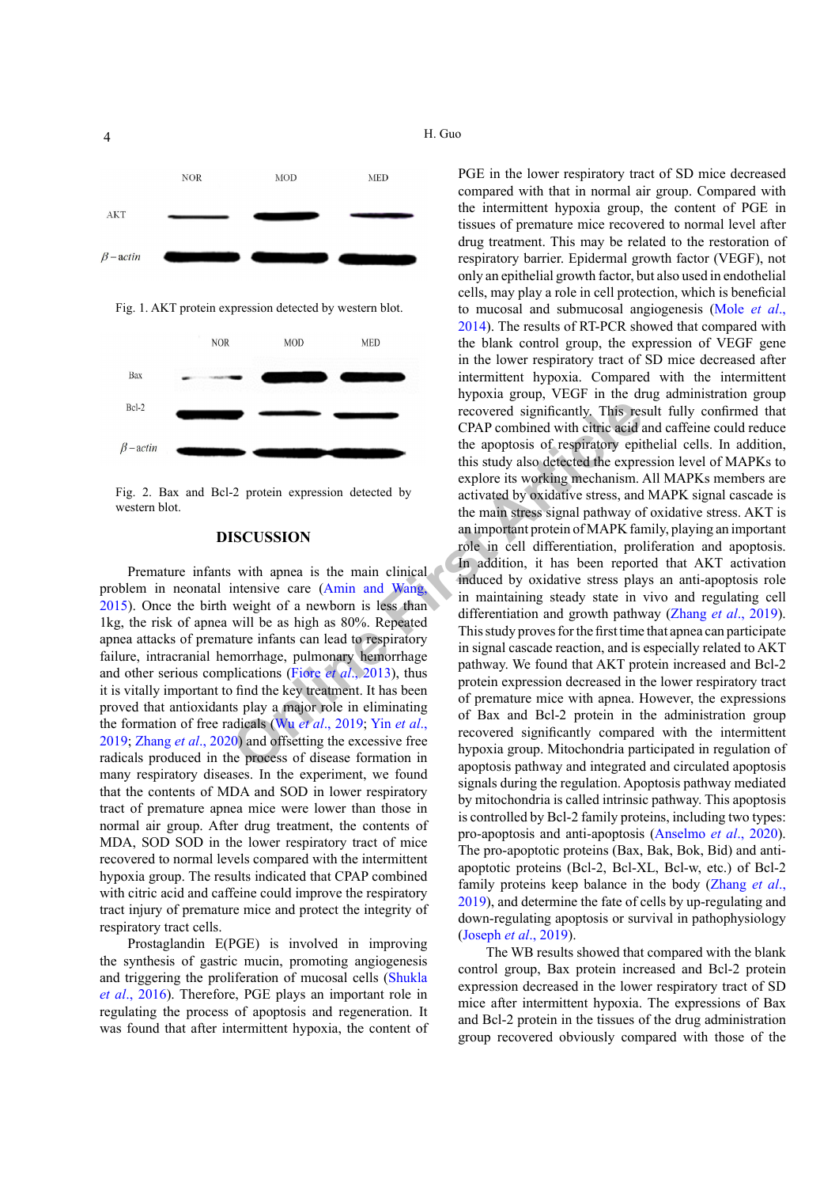

<span id="page-3-0"></span>Fig. 1. AKT protein expression detected by western blot.



<span id="page-3-1"></span>Fig. 2. Bax and Bcl-2 protein expression detected by western blot.

#### **DISCUSSION**

Premature infants with apnea is the main clinical problem in neonatal intensive care (Amin and Wang, [2015\)](#page-4-9). Once the birth weight of a newborn is less than 1kg, the risk of apnea will be as high as 80%. Repeated apnea attacks of premature infants can lead to respiratory failure, intracranial hemorrhage, pulmonary hemorrhage and other serious complications (Fiore *et al*., 2013), thus it is vitally important to find the key treatment. It has been proved that antioxidants play a major role in eliminating the formation of free radicals (Wu *et al*., 2019; Yin *et al*., [2019;](#page-5-0) [Zhang](#page-5-1) *et al*., 2020) and offsetting the excessive free radicals produced in the process of disease formation in many respiratory diseases. In the experiment, we found that the contents of MDA and SOD in lower respiratory tract of premature apnea mice were lower than those in normal air group. After drug treatment, the contents of MDA, SOD SOD in the lower respiratory tract of mice recovered to normal levels compared with the intermittent hypoxia group. The results indicated that CPAP combined with citric acid and caffeine could improve the respiratory tract injury of premature mice and protect the integrity of respiratory tract cells.

Prostaglandin E(PGE) is involved in improving the synthesis of gastric mucin, promoting angiogenesis and triggering the proliferation of mucosal cells ([Shukla](#page-4-12) *et al*[., 2016](#page-4-12)). Therefore, PGE plays an important role in regulating the process of apoptosis and regeneration. It was found that after intermittent hypoxia, the content of

**EXECUSSION**<br> **EXECUSSION**<br> **EXECUSSION**<br> **EXECUSSION**<br> **EXECUSSION**<br> **EXECUSSION**<br> **EXECUSSION**<br> **EXECUSSION**<br> **EXECUSSION**<br> **EXECUSSION**<br> **EXECUSSION**<br> **EXECUSSION**<br> **EXECUSSION**<br> **EXECUSSION**<br> **EXECUSSION**<br> **EXECUSSION** PGE in the lower respiratory tract of SD mice decreased compared with that in normal air group. Compared with the intermittent hypoxia group, the content of PGE in tissues of premature mice recovered to normal level after drug treatment. This may be related to the restoration of respiratory barrier. Epidermal growth factor (VEGF), not only an epithelial growth factor, but also used in endothelial cells, may play a role in cell protection, which is beneficial to mucosal and submucosal angiogenesis [\(Mole](#page-4-13) *et al*., [2014](#page-4-13)). The results of RT-PCR showed that compared with the blank control group, the expression of VEGF gene in the lower respiratory tract of SD mice decreased after intermittent hypoxia. Compared with the intermittent hypoxia group, VEGF in the drug administration group recovered significantly. This result fully confirmed that CPAP combined with citric acid and caffeine could reduce the apoptosis of respiratory epithelial cells. In addition, this study also detected the expression level of MAPKs to explore its working mechanism. All MAPKs members are activated by oxidative stress, and MAPK signal cascade is the main stress signal pathway of oxidative stress. AKT is an important protein of MAPK family, playing an important role in cell differentiation, proliferation and apoptosis. In addition, it has been reported that AKT activation induced by oxidative stress plays an anti-apoptosis role in maintaining steady state in vivo and regulating cell differentiation and growth pathway (Zhang *et al*[., 2019](#page-5-2)). This study proves for the first time that apnea can participate in signal cascade reaction, and is especially related to AKT pathway. We found that AKT protein increased and Bcl-2 protein expression decreased in the lower respiratory tract of premature mice with apnea. However, the expressions of Bax and Bcl-2 protein in the administration group recovered significantly compared with the intermittent hypoxia group. Mitochondria participated in regulation of apoptosis pathway and integrated and circulated apoptosis signals during the regulation. Apoptosis pathway mediated by mitochondria is called intrinsic pathway. This apoptosis is controlled by Bcl-2 family proteins, including two types: pro-apoptosis and anti-apoptosis ([Anselmo](#page-4-14) *et al*., 2020). The pro-apoptotic proteins (Bax, Bak, Bok, Bid) and antiapoptotic proteins (Bcl-2, Bcl-XL, Bcl-w, etc.) of Bcl-2 family proteins keep balance in the body [\(Zhang](#page-5-2) *et al*., [2019](#page-5-2)), and determine the fate of cells by up-regulating and down-regulating apoptosis or survival in pathophysiology [\(Joseph](#page-4-15) *et al*., 2019).

The WB results showed that compared with the blank control group, Bax protein increased and Bcl-2 protein expression decreased in the lower respiratory tract of SD mice after intermittent hypoxia. The expressions of Bax and Bcl-2 protein in the tissues of the drug administration group recovered obviously compared with those of the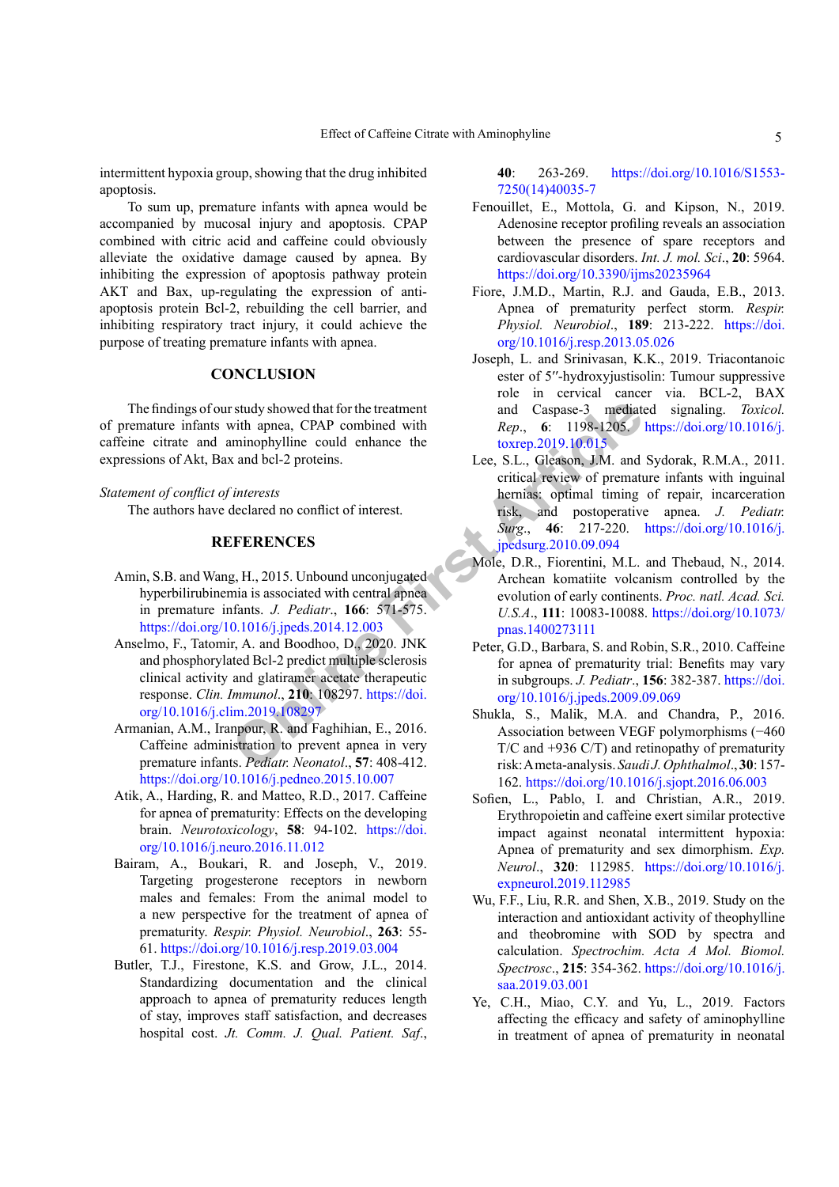intermittent hypoxia group, showing that the drug inhibited apoptosis.

To sum up, premature infants with apnea would be accompanied by mucosal injury and apoptosis. CPAP combined with citric acid and caffeine could obviously alleviate the oxidative damage caused by apnea. By inhibiting the expression of apoptosis pathway protein AKT and Bax, up-regulating the expression of antiapoptosis protein Bcl-2, rebuilding the cell barrier, and inhibiting respiratory tract injury, it could achieve the purpose of treating premature infants with apnea.

#### **CONCLUSION**

The findings of our study showed that for the treatment of premature infants with apnea, CPAP combined with caffeine citrate and aminophylline could enhance the expressions of Akt, Bax and bcl-2 proteins.

*Statement of conflict of interests* 

The authors have declared no conflict of interest.

#### <span id="page-4-12"></span>**REFERENCES**

- <span id="page-4-9"></span>Amin, S.B. and Wang, H., 2015. Unbound unconjugated hyperbilirubinemia is associated with central apnea in premature infants. *J. Pediatr*., **166**: 571-575. <https://doi.org/10.1016/j.jpeds.2014.12.003>
- <span id="page-4-14"></span>Anselmo, F., Tatomir, A. and Boodhoo, D., 2020. JNK and phosphorylated Bcl-2 predict multiple sclerosis clinical activity and glatiramer acetate therapeutic response. *Clin. Immunol*., **210**: 108297. https://doi. [org/10.1016/j.clim.2019.108297](https://doi.org/10.1016/j.clim.2019.108297)
- <span id="page-4-4"></span>Armanian, A.M., Iranpour, R. and Faghihian, E., 2016. Caffeine administration to prevent apnea in very premature infants. *Pediatr. Neonatol*., **57**: 408-412. <https://doi.org/10.1016/j.pedneo.2015.10.007>
- <span id="page-4-5"></span><span id="page-4-3"></span>Atik, A., Harding, R. and Matteo, R.D., 2017. Caffeine for apnea of prematurity: Effects on the developing brain. *Neurotoxicology*, **58**: 94-102. [https://doi.](https://doi.org/10.1016/j.neuro.2016.11.012) [org/10.1016/j.neuro.2016.11.012](https://doi.org/10.1016/j.neuro.2016.11.012)
- <span id="page-4-11"></span><span id="page-4-0"></span>Bairam, A., Boukari, R. and Joseph, V., 2019. Targeting progesterone receptors in newborn males and females: From the animal model to a new perspective for the treatment of apnea of prematurity. *Respir. Physiol. Neurobiol*., **263**: 55- 61.<https://doi.org/10.1016/j.resp.2019.03.004>
- <span id="page-4-8"></span><span id="page-4-1"></span>Butler, T.J., Firestone, K.S. and Grow, J.L., 2014. Standardizing documentation and the clinical approach to apnea of prematurity reduces length of stay, improves staff satisfaction, and decreases hospital cost. *Jt. Comm. J. Qual. Patient. Saf*.,

**40**: 263-269. [https://doi.org/10.1016/S1553-](https://doi.org/10.1016/S1553-7250(14)40035-7) [7250\(14\)40035-7](https://doi.org/10.1016/S1553-7250(14)40035-7)

- <span id="page-4-2"></span>Fenouillet, E., Mottola, G. and Kipson, N., 2019. Adenosine receptor profiling reveals an association between the presence of spare receptors and cardiovascular disorders. *Int. J. mol. Sci*., **20**: 5964. <https://doi.org/10.3390/ijms20235964>
- <span id="page-4-10"></span>Fiore, J.M.D., Martin, R.J. and Gauda, E.B., 2013. Apnea of prematurity perfect storm. *Respir. Physiol. Neurobiol*., **189**: 213-222. [https://doi.](https://doi.org/10.1016/j.resp.2013.05.026) [org/10.1016/j.resp.2013.05.026](https://doi.org/10.1016/j.resp.2013.05.026)
- <span id="page-4-15"></span><span id="page-4-13"></span><span id="page-4-7"></span><span id="page-4-6"></span>Joseph, L. and Srinivasan, K.K., 2019. Triacontanoic ester of 5ʹʹ-hydroxyjustisolin: Tumour suppressive role in cervical cancer via. BCL-2, BAX and Caspase-3 mediated signaling. *Toxicol. Rep*., **6**: 1198-1205. [https://doi.org/10.1016/j.](https://doi.org/10.1016/j.toxrep.2019.10.015) toxrep.2019.10.015
- For extend that for the treatment<br>
Alternative the proposition of the treatment<br>
Stand bel-2 proteins.<br>
Alternative proposition of premate the control of interests<br>
Firs[t A](https://doi.org/10.1016/j.jpedsurg.2010.09.094)<sub>rt</sub> Clean M<sub>a</sub> Stand postoperative of premate the Lee, S.L., Gleason, J.M. and Sydorak, R.M.A., 2011. critical review of premature infants with inguinal hernias: optimal timing of repair, incarceration risk, and postoperative apnea. *J. Pediatr. Surg*., **46**: 217-220. [https://doi.org/10.1016/j.](https://doi.org/10.1016/j.jpedsurg.2010.09.094) jpedsurg.2010.09.094
	- Mole, D.R., Fiorentini, M.L. and Thebaud, N., 2014. Archean komatiite volcanism controlled by the evolution of early continents. *Proc. natl. Acad. Sci. U.S.A*., **111**: 10083-10088. [https://doi.org/10.1073/](https://doi.org/10.1073/pnas.1400273111) pnas.1400273111
	- Peter, G.D., Barbara, S. and Robin, S.R., 2010. Caffeine for apnea of prematurity trial: Benefits may vary in subgroups. *J. Pediatr*., **156**: 382-387. [https://doi.](https://doi.org/10.1016/j.jpeds.2009.09.069) org/10.1016/j.jpeds.2009.09.069
	- Shukla, S., Malik, M.A. and Chandra, P., 2016. Association between VEGF polymorphisms (−460 T/C and +936 C/T) and retinopathy of prematurity risk: A meta-analysis. *Saudi J. Ophthalmol*., **30**: 157- 162.<https://doi.org/10.1016/j.sjopt.2016.06.003>
	- Sofien, L., Pablo, I. and Christian, A.R., 2019. Erythropoietin and caffeine exert similar protective impact against neonatal intermittent hypoxia: Apnea of prematurity and sex dimorphism. *Exp. Neurol*., **320**: 112985. [https://doi.org/10.1016/j.](https://doi.org/10.1016/j.expneurol.2019.112985) [expneurol.2019.112985](https://doi.org/10.1016/j.expneurol.2019.112985)
	- Wu, F.F., Liu, R.R. and Shen, X.B., 2019. Study on the interaction and antioxidant activity of theophylline and theobromine with SOD by spectra and calculation. *Spectrochim. Acta A Mol. Biomol. Spectrosc*., **215**: 354-362. [https://doi.org/10.1016/j.](https://doi.org/10.1016/j.saa.2019.03.001) [saa.2019.03.001](https://doi.org/10.1016/j.saa.2019.03.001)
	- Ye, C.H., Miao, C.Y. and Yu, L., 2019. Factors affecting the efficacy and safety of aminophylline in treatment of apnea of prematurity in neonatal